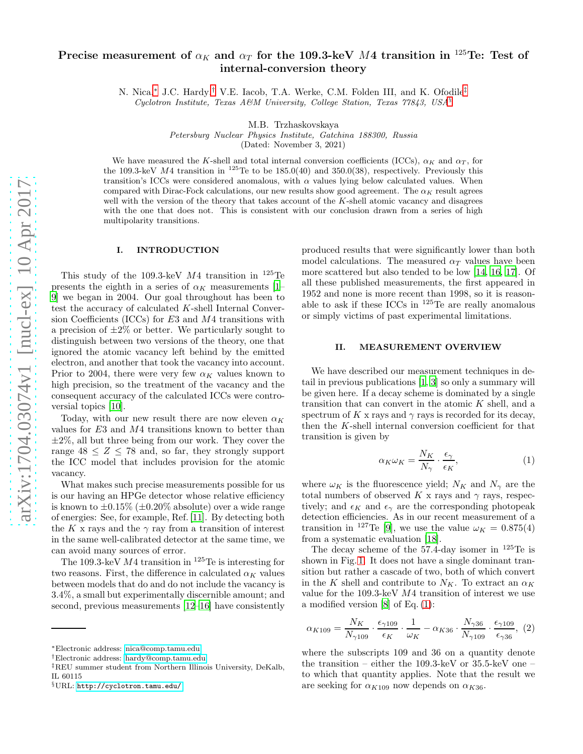# Precise measurement of  $\alpha_K$  and  $\alpha_T$  for the 109.3-keV M4 transition in <sup>125</sup>Te: Test of internal-conversion theory

N. Nica,[∗](#page-0-0) J.C. Hardy,[†](#page-0-1) V.E. Iacob, T.A. Werke, C.M. Folden III, and K. Ofodile[‡](#page-0-2) Cyclotron Institute, Texas A&M University, College Station, Texas  $77843$ , USA<sup>[§](#page-0-3)</sup>

M.B. Trzhaskovskaya

Petersburg Nuclear Physics Institute, Gatchina 188300, Russia

(Dated: November 3, 2021)

We have measured the K-shell and total internal conversion coefficients (ICCs),  $\alpha_K$  and  $\alpha_T$ , for the 109.3-keV  $M4$  transition in  $^{125}$ Te to be 185.0(40) and 350.0(38), respectively. Previously this transition's ICCs were considered anomalous, with  $\alpha$  values lying below calculated values. When compared with Dirac-Fock calculations, our new results show good agreement. The  $\alpha_K$  result agrees well with the version of the theory that takes account of the  $K$ -shell atomic vacancy and disagrees with the one that does not. This is consistent with our conclusion drawn from a series of high multipolarity transitions.

## I. INTRODUCTION

This study of the 109.3-keV  $M4$  transition in  $^{125}$ Te presents the eighth in a series of  $\alpha_K$  measurements [\[1](#page-6-0)– [9](#page-6-1)] we began in 2004. Our goal throughout has been to test the accuracy of calculated K-shell Internal Conversion Coefficients (ICCs) for  $E3$  and  $M4$  transitions with a precision of  $\pm 2\%$  or better. We particularly sought to distinguish between two versions of the theory, one that ignored the atomic vacancy left behind by the emitted electron, and another that took the vacancy into account. Prior to 2004, there were very few  $\alpha_K$  values known to high precision, so the treatment of the vacancy and the consequent accuracy of the calculated ICCs were controversial topics [\[10\]](#page-6-2).

Today, with our new result there are now eleven  $\alpha_K$ values for E3 and M4 transitions known to better than  $\pm 2\%$ , all but three being from our work. They cover the range  $48 \leq Z \leq 78$  and, so far, they strongly support the ICC model that includes provision for the atomic vacancy.

What makes such precise measurements possible for us is our having an HPGe detector whose relative efficiency is known to  $\pm 0.15\%$  ( $\pm 0.20\%$  absolute) over a wide range of energies: See, for example, Ref. [\[11\]](#page-6-3). By detecting both the K x rays and the  $\gamma$  ray from a transition of interest in the same well-calibrated detector at the same time, we can avoid many sources of error.

The 109.3-keV  $M4$  transition in <sup>125</sup>Te is interesting for two reasons. First, the difference in calculated  $\alpha_K$  values between models that do and do not include the vacancy is 3.4%, a small but experimentally discernible amount; and second, previous measurements [\[12](#page-6-4)[–16\]](#page-6-5) have consistently

produced results that were significantly lower than both model calculations. The measured  $\alpha_T$  values have been more scattered but also tended to be low [\[14,](#page-6-6) [16,](#page-6-5) [17\]](#page-6-7). Of all these published measurements, the first appeared in 1952 and none is more recent than 1998, so it is reasonable to ask if these ICCs in  $^{125}$ Te are really anomalous or simply victims of past experimental limitations.

# II. MEASUREMENT OVERVIEW

We have described our measurement techniques in detail in previous publications [\[1](#page-6-0), [3\]](#page-6-8) so only a summary will be given here. If a decay scheme is dominated by a single transition that can convert in the atomic  $K$  shell, and a spectrum of K x rays and  $\gamma$  rays is recorded for its decay, then the K-shell internal conversion coefficient for that transition is given by

<span id="page-0-4"></span>
$$
\alpha_K \omega_K = \frac{N_K}{N_\gamma} \cdot \frac{\epsilon_\gamma}{\epsilon_K},\tag{1}
$$

where  $\omega_K$  is the fluorescence yield;  $N_K$  and  $N_\gamma$  are the total numbers of observed  $K$ x rays and  $\gamma$  rays, respectively; and  $\epsilon_K$  and  $\epsilon_\gamma$  are the corresponding photopeak detection efficiencies. As in our recent measurement of a transition in <sup>127</sup>Te [\[9](#page-6-1)], we use the value  $\omega_K = 0.875(4)$ from a systematic evaluation [\[18\]](#page-6-9).

The decay scheme of the  $57.4$ -day isomer in  $125$ Te is shown in Fig. [1.](#page-1-0) It does not have a single dominant transition but rather a cascade of two, both of which convert in the K shell and contribute to  $N_K$ . To extract an  $\alpha_K$ value for the 109.3-keV M4 transition of interest we use a modified version [\[8\]](#page-6-10) of Eq. [\(1\)](#page-0-4):

<span id="page-0-5"></span>
$$
\alpha_{K109} = \frac{N_K}{N_{\gamma 109}} \cdot \frac{\epsilon_{\gamma 109}}{\epsilon_K} \cdot \frac{1}{\omega_K} - \alpha_{K36} \cdot \frac{N_{\gamma 36}}{N_{\gamma 109}} \cdot \frac{\epsilon_{\gamma 109}}{\epsilon_{\gamma 36}}, \tag{2}
$$

where the subscripts 109 and 36 on a quantity denote the transition – either the 109.3-keV or 35.5-keV one – to which that quantity applies. Note that the result we are seeking for  $\alpha_{K109}$  now depends on  $\alpha_{K36}$ .

<span id="page-0-0"></span><sup>∗</sup>Electronic address: [nica@comp.tamu.edu](mailto:nica@comp.tamu.edu)

<span id="page-0-1"></span><sup>†</sup>Electronic address: [hardy@comp.tamu.edu](mailto:hardy@comp.tamu.edu)

<span id="page-0-2"></span><sup>‡</sup>REU summer student from Northern Illinois University, DeKalb, IL 60115

<span id="page-0-3"></span><sup>§</sup>URL: <http://cyclotron.tamu.edu/>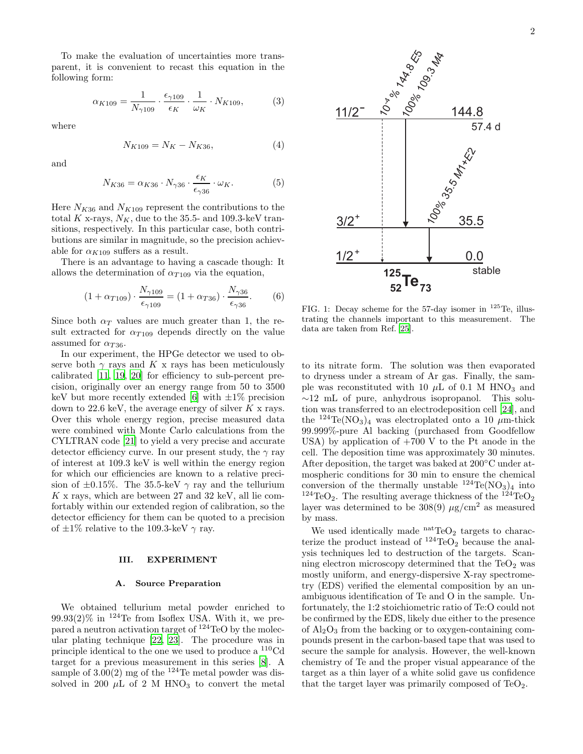To make the evaluation of uncertainties more transparent, it is convenient to recast this equation in the following form:

<span id="page-1-3"></span>
$$
\alpha_{K109} = \frac{1}{N_{\gamma 109}} \cdot \frac{\epsilon_{\gamma 109}}{\epsilon_K} \cdot \frac{1}{\omega_K} \cdot N_{K109},\tag{3}
$$

where

<span id="page-1-2"></span>
$$
N_{K109} = N_K - N_{K36},\tag{4}
$$

and

<span id="page-1-1"></span>
$$
N_{K36} = \alpha_{K36} \cdot N_{\gamma 36} \cdot \frac{\epsilon_K}{\epsilon_{\gamma 36}} \cdot \omega_K. \tag{5}
$$

Here  $N_{K36}$  and  $N_{K109}$  represent the contributions to the total K x-rays,  $N_K$ , due to the 35.5- and 109.3-keV transitions, respectively. In this particular case, both contributions are similar in magnitude, so the precision achievable for  $\alpha_{K109}$  suffers as a result.

There is an advantage to having a cascade though: It allows the determination of  $\alpha_{T109}$  via the equation,

<span id="page-1-4"></span>
$$
(1 + \alpha_{T109}) \cdot \frac{N_{\gamma 109}}{\epsilon_{\gamma 109}} = (1 + \alpha_{T36}) \cdot \frac{N_{\gamma 36}}{\epsilon_{\gamma 36}}.
$$
 (6)

Since both  $\alpha_T$  values are much greater than 1, the result extracted for  $\alpha_{T109}$  depends directly on the value assumed for  $\alpha_{T36}$ .

In our experiment, the HPGe detector we used to observe both  $\gamma$  rays and K x rays has been meticulously calibrated [\[11,](#page-6-3) [19,](#page-6-11) [20\]](#page-6-12) for efficiency to sub-percent precision, originally over an energy range from 50 to 3500 keV but more recently extended [\[6\]](#page-6-13) with  $\pm 1\%$  precision down to 22.6 keV, the average energy of silver  $K \times$  rays. Over this whole energy region, precise measured data were combined with Monte Carlo calculations from the CYLTRAN code [\[21\]](#page-6-14) to yield a very precise and accurate detector efficiency curve. In our present study, the  $\gamma$  ray of interest at 109.3 keV is well within the energy region for which our efficiencies are known to a relative precision of  $\pm 0.15\%$ . The 35.5-keV  $\gamma$  ray and the tellurium  $K \times$  rays, which are between 27 and 32 keV, all lie comfortably within our extended region of calibration, so the detector efficiency for them can be quoted to a precision of  $\pm 1\%$  relative to the 109.3-keV  $\gamma$  ray.

#### III. EXPERIMENT

#### A. Source Preparation

We obtained tellurium metal powder enriched to  $99.93(2)\%$  in <sup>124</sup>Te from Isoflex USA. With it, we prepared a neutron activation target of <sup>124</sup>TeO by the molecular plating technique [\[22,](#page-6-15) [23](#page-6-16)]. The procedure was in principle identical to the one we used to produce a <sup>110</sup>Cd target for a previous measurement in this series [\[8](#page-6-10)]. A sample of  $3.00(2)$  mg of the <sup>124</sup>Te metal powder was dissolved in 200  $\mu$ L of 2 M HNO<sub>3</sub> to convert the metal



<span id="page-1-0"></span>FIG. 1: Decay scheme for the 57-day isomer in  $^{125}$ Te, illustrating the channels important to this measurement. The data are taken from Ref. [\[25\]](#page-6-17).

to its nitrate form. The solution was then evaporated to dryness under a stream of Ar gas. Finally, the sample was reconstituted with 10  $\mu$ L of 0.1 M HNO<sub>3</sub> and ∼12 mL of pure, anhydrous isopropanol. This solution was transferred to an electrodeposition cell [\[24\]](#page-6-18), and the <sup>124</sup>Te(NO<sub>3</sub>)<sub>4</sub> was electroplated onto a 10  $\mu$ m-thick 99.999%-pure Al backing (purchased from Goodfellow USA) by application of  $+700$  V to the Pt anode in the cell. The deposition time was approximately 30 minutes. After deposition, the target was baked at 200◦C under atmospheric conditions for 30 min to ensure the chemical conversion of the thermally unstable  $^{124}Te(NO_3)_4$  into <sup>124</sup>TeO<sub>2</sub>. The resulting average thickness of the <sup>124</sup>TeO<sub>2</sub> layer was determined to be  $308(9) \mu g/cm^2$  as measured by mass.

We used identically made  $n^{\text{at}}\text{TeO}_2$  targets to characterize the product instead of  $^{124}$ TeO<sub>2</sub> because the analysis techniques led to destruction of the targets. Scanning electron microscopy determined that the  $TeO<sub>2</sub>$  was mostly uniform, and energy-dispersive X-ray spectrometry (EDS) verified the elemental composition by an unambiguous identification of Te and O in the sample. Unfortunately, the 1:2 stoichiometric ratio of Te:O could not be confirmed by the EDS, likely due either to the presence of  $\text{Al}_2\text{O}_3$  from the backing or to oxygen-containing compounds present in the carbon-based tape that was used to secure the sample for analysis. However, the well-known chemistry of Te and the proper visual appearance of the target as a thin layer of a white solid gave us confidence that the target layer was primarily composed of  $TeO<sub>2</sub>$ .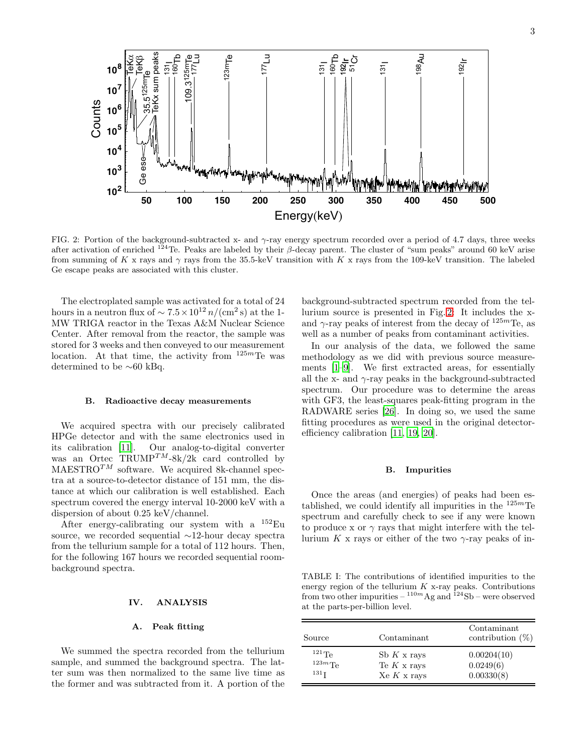**10<sup>2</sup> 10<sup>3</sup> 10<sup>4</sup> 10<sup>5</sup> 10<sup>6</sup> 10<sup>7</sup> 10<sup>8</sup> 50 100 150 200 250 300 350 400 450 500** TeK aTeKb 125mTe 55.5<br>35.16 Ge esc TeKx sum peaks 131<br>191 160Tb 109.3<sup>125m</sup>Te<br>1<sup>77</sup>Lu 123mTe  $177$ 131I 160Tb 192Ir 51Cr  $\frac{1}{31}$ 198Au <u>ର</u>  $Energy (keV)$ Counts

<span id="page-2-0"></span>FIG. 2: Portion of the background-subtracted x- and  $\gamma$ -ray energy spectrum recorded over a period of 4.7 days, three weeks after activation of enriched <sup>124</sup>Te. Peaks are labeled by their  $\beta$ -decay parent. The cluster of "sum peaks" around 60 keV arise from summing of K x rays and  $\gamma$  rays from the 35.5-keV transition with K x rays from the 109-keV transition. The labeled Ge escape peaks are associated with this cluster.

The electroplated sample was activated for a total of 24 hours in a neutron flux of  $\sim 7.5 \times 10^{12} n/(\text{cm}^2 \text{ s})$  at the 1-MW TRIGA reactor in the Texas A&M Nuclear Science Center. After removal from the reactor, the sample was stored for 3 weeks and then conveyed to our measurement location. At that time, the activity from  $125m$ Te was determined to be ∼60 kBq.

#### B. Radioactive decay measurements

We acquired spectra with our precisely calibrated HPGe detector and with the same electronics used in its calibration [\[11](#page-6-3)]. Our analog-to-digital converter was an Ortec TRUMP<sup>TM</sup>-8k/2k card controlled by  $MAESTRO^{TM}$  software. We acquired 8k-channel spectra at a source-to-detector distance of 151 mm, the distance at which our calibration is well established. Each spectrum covered the energy interval 10-2000 keV with a dispersion of about 0.25 keV/channel.

After energy-calibrating our system with a  $^{152}$ Eu source, we recorded sequential ∼12-hour decay spectra from the tellurium sample for a total of 112 hours. Then, for the following 167 hours we recorded sequential roombackground spectra.

## IV. ANALYSIS

## <span id="page-2-2"></span>A. Peak fitting

We summed the spectra recorded from the tellurium sample, and summed the background spectra. The latter sum was then normalized to the same live time as the former and was subtracted from it. A portion of the background-subtracted spectrum recorded from the tellurium source is presented in Fig. [2:](#page-2-0) It includes the xand  $\gamma$ -ray peaks of interest from the decay of  $125m$ Te, as well as a number of peaks from contaminant activities.

In our analysis of the data, we followed the same methodology as we did with previous source measurements [\[1](#page-6-0)[–9\]](#page-6-1). We first extracted areas, for essentially all the x- and  $\gamma$ -ray peaks in the background-subtracted spectrum. Our procedure was to determine the areas with GF3, the least-squares peak-fitting program in the RADWARE series [\[26](#page-6-19)]. In doing so, we used the same fitting procedures as were used in the original detectorefficiency calibration [\[11,](#page-6-3) [19,](#page-6-11) [20\]](#page-6-12).

### <span id="page-2-3"></span>B. Impurities

Once the areas (and energies) of peaks had been established, we could identify all impurities in the  $125m$ Te spectrum and carefully check to see if any were known to produce x or  $\gamma$  rays that might interfere with the tellurium K x rays or either of the two  $\gamma$ -ray peaks of in-

<span id="page-2-1"></span>TABLE I: The contributions of identified impurities to the energy region of the tellurium  $K$  x-ray peaks. Contributions from two other impurities  $-110m$  Ag and  $124$ Sb – were observed at the parts-per-billion level.

| Source           | Contaminant        | Contaminant<br>contribution $(\%)$ |
|------------------|--------------------|------------------------------------|
| $^{121}$ Te      | Sb $K \times$ rays | 0.00204(10)                        |
| $123m$ Te        | Te $K$ x rays      | 0.0249(6)                          |
| 131 <sub>T</sub> | Xe K x rays        | 0.00330(8)                         |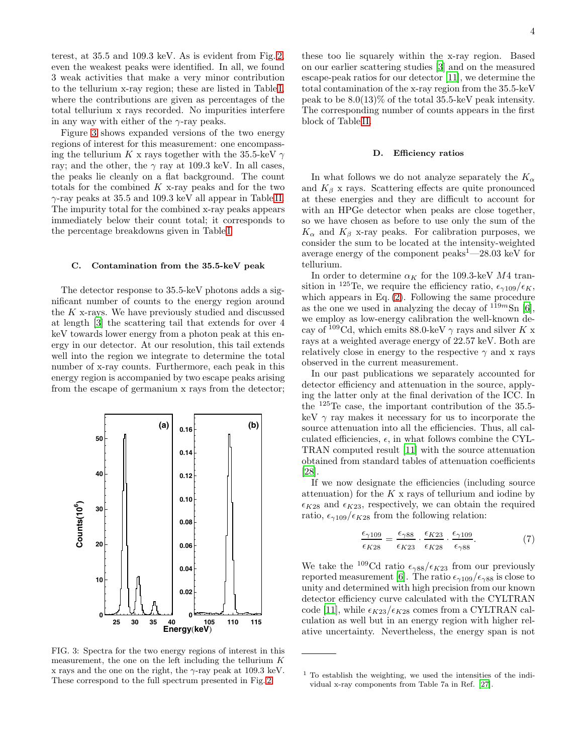terest, at 35.5 and 109.3 keV. As is evident from Fig. [2,](#page-2-0) even the weakest peaks were identified. In all, we found 3 weak activities that make a very minor contribution to the tellurium x-ray region; these are listed in Table [I,](#page-2-1) where the contributions are given as percentages of the total tellurium x rays recorded. No impurities interfere in any way with either of the  $\gamma$ -ray peaks.

Figure [3](#page-3-0) shows expanded versions of the two energy regions of interest for this measurement: one encompassing the tellurium K x rays together with the 35.5-keV  $\gamma$ ray; and the other, the  $\gamma$  ray at 109.3 keV. In all cases, the peaks lie cleanly on a flat background. The count totals for the combined  $K$  x-ray peaks and for the two  $\gamma$ -ray peaks at 35.5 and 109.3 keV all appear in Table [II.](#page-4-0) The impurity total for the combined x-ray peaks appears immediately below their count total; it corresponds to the percentage breakdowns given in Table [I.](#page-2-1)

#### <span id="page-3-1"></span>C. Contamination from the 35.5-keV peak

The detector response to 35.5-keV photons adds a significant number of counts to the energy region around the K x-rays. We have previously studied and discussed at length [\[3](#page-6-8)] the scattering tail that extends for over 4 keV towards lower energy from a photon peak at this energy in our detector. At our resolution, this tail extends well into the region we integrate to determine the total number of x-ray counts. Furthermore, each peak in this energy region is accompanied by two escape peaks arising from the escape of germanium x rays from the detector;



<span id="page-3-0"></span>FIG. 3: Spectra for the two energy regions of interest in this measurement, the one on the left including the tellurium  $K$ x rays and the one on the right, the  $\gamma$ -ray peak at 109.3 keV. These correspond to the full spectrum presented in Fig. [2](#page-2-0)

these too lie squarely within the x-ray region. Based on our earlier scattering studies [\[3](#page-6-8)] and on the measured escape-peak ratios for our detector [\[11\]](#page-6-3), we determine the total contamination of the x-ray region from the 35.5-keV peak to be  $8.0(13)\%$  of the total 35.5-keV peak intensity. The corresponding number of counts appears in the first block of Table [II.](#page-4-0)

#### D. Efficiency ratios

In what follows we do not analyze separately the  $K_{\alpha}$ and  $K_{\beta}$  x rays. Scattering effects are quite pronounced at these energies and they are difficult to account for with an HPGe detector when peaks are close together, so we have chosen as before to use only the sum of the  $K_{\alpha}$  and  $K_{\beta}$  x-ray peaks. For calibration purposes, we consider the sum to be located at the intensity-weighted average energy of the component  $\text{peaks}^1$ —28.03 keV for tellurium.

In order to determine  $\alpha_K$  for the 109.3-keV M4 transition in <sup>125</sup>Te, we require the efficiency ratio,  $\epsilon_{\gamma 109}/\epsilon_K$ , which appears in Eq. [\(2\)](#page-0-5). Following the same procedure as the one we used in analyzing the decay of  $119m\text{Sn}$  [\[6\]](#page-6-13), we employ as low-energy calibration the well-known decay of <sup>109</sup>Cd, which emits 88.0-keV  $\gamma$  rays and silver K x rays at a weighted average energy of 22.57 keV. Both are relatively close in energy to the respective  $\gamma$  and x rays observed in the current measurement.

In our past publications we separately accounted for detector efficiency and attenuation in the source, applying the latter only at the final derivation of the ICC. In the <sup>125</sup>Te case, the important contribution of the 35.5 keV  $\gamma$  ray makes it necessary for us to incorporate the source attenuation into all the efficiencies. Thus, all calculated efficiencies,  $\epsilon$ , in what follows combine the CYL-TRAN computed result [\[11\]](#page-6-3) with the source attenuation obtained from standard tables of attenuation coefficients [\[28\]](#page-6-20).

If we now designate the efficiencies (including source attenuation) for the  $K \times$  rays of tellurium and iodine by  $\epsilon_{K28}$  and  $\epsilon_{K23}$ , respectively, we can obtain the required ratio,  $\epsilon_{\gamma 109}/\epsilon_{K28}$  from the following relation:

<span id="page-3-2"></span>
$$
\frac{\epsilon_{\gamma 109}}{\epsilon_{K28}} = \frac{\epsilon_{\gamma 88}}{\epsilon_{K23}} \cdot \frac{\epsilon_{K23}}{\epsilon_{K28}} \cdot \frac{\epsilon_{\gamma 109}}{\epsilon_{\gamma 88}}.\tag{7}
$$

We take the <sup>109</sup>Cd ratio  $\epsilon_{\gamma 88}/\epsilon_{K23}$  from our previously reported measurement [\[6\]](#page-6-13). The ratio  $\epsilon_{\gamma 109}/\epsilon_{\gamma 88}$  is close to unity and determined with high precision from our known detector efficiency curve calculated with the CYLTRAN code [\[11](#page-6-3)], while  $\epsilon_{K23}/\epsilon_{K28}$  comes from a CYLTRAN calculation as well but in an energy region with higher relative uncertainty. Nevertheless, the energy span is not

<sup>1</sup> To establish the weighting, we used the intensities of the individual x-ray components from Table 7a in Ref. [\[27\]](#page-6-21).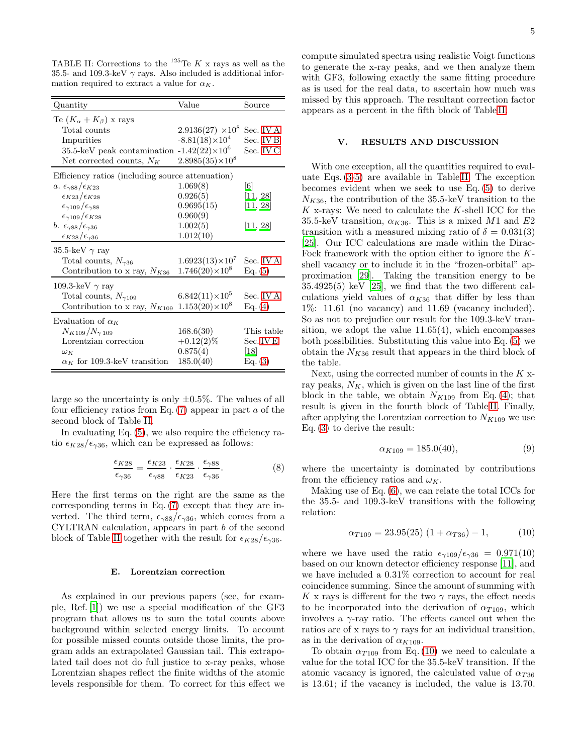<span id="page-4-0"></span>TABLE II: Corrections to the <sup>125</sup>Te K x rays as well as the 35.5- and 109.3-keV  $\gamma$  rays. Also included is additional information required to extract a value for  $\alpha_K$ .

| Quantity                                          | Value                    | Source            |  |  |  |
|---------------------------------------------------|--------------------------|-------------------|--|--|--|
| Te $(K_{\alpha}+K_{\beta})$ x rays                |                          |                   |  |  |  |
| Total counts                                      | $2.9136(27) \times 10^8$ | Sec. IVA          |  |  |  |
| Impurities                                        | $-8.81(18)\times10^4$    | Sec. IVB          |  |  |  |
| 35.5-keV peak contamination $-1.42(22)\times10^6$ |                          | Sec. IV C         |  |  |  |
| Net corrected counts, $N_K$                       | $2.8985(35)\times10^8$   |                   |  |  |  |
| Efficiency ratios (including source attenuation)  |                          |                   |  |  |  |
| a. $\epsilon_{\gamma 88}/\epsilon_{K23}$          | 1.069(8)                 | $\lceil 6 \rceil$ |  |  |  |
| $\epsilon_{K23}/\epsilon_{K28}$                   | 0.926(5)                 | [11, 28]          |  |  |  |
| $\epsilon_{\gamma109}/\epsilon_{\gamma88}$        | 0.9695(15)               | [11, 28]          |  |  |  |
| $\epsilon_{\gamma 109}/\epsilon_{K28}$            | 0.960(9)                 |                   |  |  |  |
| b. $\epsilon_{\gamma 88}/\epsilon_{\gamma 36}$    | 1.002(5)                 | [11, 28]          |  |  |  |
| $\epsilon_{K28}/\epsilon_{\gamma36}$              | 1.012(10)                |                   |  |  |  |
| 35.5-keV $\gamma$ ray                             |                          |                   |  |  |  |
| Total counts, $N_{\gamma 36}$                     | $1.6923(13)\times10^{7}$ | Sec. IV A         |  |  |  |
| Contribution to x ray, $N_{K36}$                  | $1.746(20)\times10^8$    | Eq. (5)           |  |  |  |
| 109.3-keV $\gamma$ ray                            |                          |                   |  |  |  |
| Total counts, $N_{\gamma 109}$                    | $6.842(11)\times10^{5}$  | Sec. IVA          |  |  |  |
| Contribution to x ray, $N_{K109}$                 | $1.153(20)\times10^8$    | Eq. (4)           |  |  |  |
| Evaluation of $\alpha_K$                          |                          |                   |  |  |  |
| $N_{K109}/N_{\gamma 109}$                         | 168.6(30)                | This table        |  |  |  |
| Lorentzian correction                             | $+0.12(2)\%$             | Sec. IVE          |  |  |  |
| $\omega_K$                                        | 0.875(4)                 | 18                |  |  |  |
| $\alpha_K$ for 109.3-keV transition               | 185.0(40)                | Eq. (3)           |  |  |  |

large so the uncertainty is only  $\pm 0.5\%$ . The values of all four efficiency ratios from Eq.  $(7)$  appear in part a of the second block of Table [II.](#page-4-0)

In evaluating Eq. [\(5\)](#page-1-1), we also require the efficiency ratio  $\epsilon_{K28}/\epsilon_{\gamma 36}$ , which can be expressed as follows:

$$
\frac{\epsilon_{K28}}{\epsilon_{\gamma 36}} = \frac{\epsilon_{K23}}{\epsilon_{\gamma 88}} \cdot \frac{\epsilon_{K28}}{\epsilon_{K23}} \cdot \frac{\epsilon_{\gamma 88}}{\epsilon_{\gamma 36}}.\tag{8}
$$

Here the first terms on the right are the same as the corresponding terms in Eq. [\(7\)](#page-3-2) except that they are inverted. The third term,  $\epsilon_{\gamma 88}/\epsilon_{\gamma 36}$ , which comes from a CYLTRAN calculation, appears in part b of the second block of Table [II](#page-4-0) together with the result for  $\epsilon_{K28}/\epsilon_{\gamma36}$ .

#### <span id="page-4-1"></span>E. Lorentzian correction

As explained in our previous papers (see, for example, Ref. [\[1](#page-6-0)]) we use a special modification of the GF3 program that allows us to sum the total counts above background within selected energy limits. To account for possible missed counts outside those limits, the program adds an extrapolated Gaussian tail. This extrapolated tail does not do full justice to x-ray peaks, whose Lorentzian shapes reflect the finite widths of the atomic levels responsible for them. To correct for this effect we compute simulated spectra using realistic Voigt functions to generate the x-ray peaks, and we then analyze them with GF3, following exactly the same fitting procedure as is used for the real data, to ascertain how much was missed by this approach. The resultant correction factor appears as a percent in the fifth block of Table [II.](#page-4-0)

# V. RESULTS AND DISCUSSION

With one exception, all the quantities required to evaluate Eqs. [\(3-](#page-1-3)[5\)](#page-1-1) are available in Table [II.](#page-4-0) The exception becomes evident when we seek to use Eq. [\(5\)](#page-1-1) to derive  $N_{K36}$ , the contribution of the 35.5-keV transition to the K x-rays: We need to calculate the K-shell ICC for the 35.5-keV transition,  $\alpha_{K36}$ . This is a mixed M1 and E2 transition with a measured mixing ratio of  $\delta = 0.031(3)$ [\[25\]](#page-6-17). Our ICC calculations are made within the Dirac-Fock framework with the option either to ignore the Kshell vacancy or to include it in the "frozen-orbital" approximation [\[29\]](#page-6-22). Taking the transition energy to be 35.4925(5) keV [\[25](#page-6-17)], we find that the two different calculations yield values of  $\alpha_{K36}$  that differ by less than 1%: 11.61 (no vacancy) and 11.69 (vacancy included). So as not to prejudice our result for the 109.3-keV transition, we adopt the value  $11.65(4)$ , which encompasses both possibilities. Substituting this value into Eq. [\(5\)](#page-1-1) we obtain the  $N_{K36}$  result that appears in the third block of the table.

Next, using the corrected number of counts in the K xray peaks,  $N_K$ , which is given on the last line of the first block in the table, we obtain  $N_{K109}$  from Eq. [\(4\)](#page-1-2); that result is given in the fourth block of Table [II.](#page-4-0) Finally, after applying the Lorentzian correction to  $N_{K109}$  we use Eq. [\(3\)](#page-1-3) to derive the result:

$$
\alpha_{K109} = 185.0(40),\tag{9}
$$

where the uncertainty is dominated by contributions from the efficiency ratios and  $\omega_K$ .

Making use of Eq. [\(6\)](#page-1-4), we can relate the total ICCs for the 35.5- and 109.3-keV transitions with the following relation:

<span id="page-4-2"></span>
$$
\alpha_{T109} = 23.95(25) \left(1 + \alpha_{T36}\right) - 1,\tag{10}
$$

where we have used the ratio  $\epsilon_{\gamma 109}/\epsilon_{\gamma 36} = 0.971(10)$ based on our known detector efficiency response [\[11\]](#page-6-3), and we have included a 0.31% correction to account for real coincidence summing. Since the amount of summing with K x rays is different for the two  $\gamma$  rays, the effect needs to be incorporated into the derivation of  $\alpha_{T109}$ , which involves a  $\gamma$ -ray ratio. The effects cancel out when the ratios are of x rays to  $\gamma$  rays for an individual transition, as in the derivation of  $\alpha_{K109}$ .

To obtain  $\alpha_{T109}$  from Eq. [\(10\)](#page-4-2) we need to calculate a value for the total ICC for the 35.5-keV transition. If the atomic vacancy is ignored, the calculated value of  $\alpha_{T36}$ is 13.61; if the vacancy is included, the value is 13.70.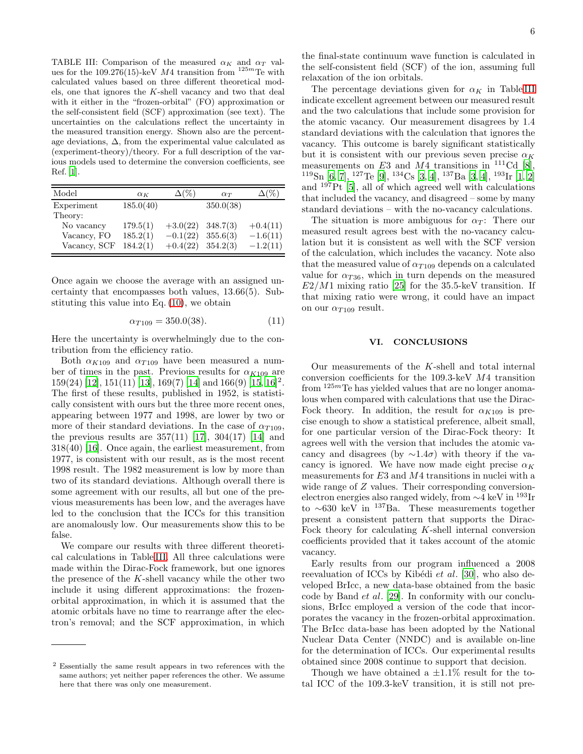<span id="page-5-0"></span>TABLE III: Comparison of the measured  $\alpha_K$  and  $\alpha_T$  values for the 109.276(15)-keV  $M4$  transition from  $125m$ Te with calculated values based on three different theoretical models, one that ignores the  $K$ -shell vacancy and two that deal with it either in the "frozen-orbital" (FO) approximation or the self-consistent field (SCF) approximation (see text). The uncertainties on the calculations reflect the uncertainty in the measured transition energy. Shown also are the percentage deviations,  $\Delta$ , from the experimental value calculated as (experiment-theory)/theory. For a full description of the various models used to determine the conversion coefficients, see Ref. [\[1\]](#page-6-0).

| Model        | $\alpha_K$ | $\Delta(\%)$ | $\alpha_T$ | $\Delta(\%)$ |
|--------------|------------|--------------|------------|--------------|
| Experiment   | 185.0(40)  |              | 350.0(38)  |              |
| Theory:      |            |              |            |              |
| No vacancy   | 179.5(1)   | $+3.0(22)$   | 348.7(3)   | $+0.4(11)$   |
| Vacancy, FO  | 185.2(1)   | $-0.1(22)$   | 355.6(3)   | $-1.6(11)$   |
| Vacancy, SCF | 184.2(1)   | $+0.4(22)$   | 354.2(3)   | $-1.2(11)$   |

Once again we choose the average with an assigned uncertainty that encompasses both values, 13.66(5). Substituting this value into Eq. [\(10\)](#page-4-2), we obtain

$$
\alpha_{T109} = 350.0(38). \tag{11}
$$

Here the uncertainty is overwhelmingly due to the contribution from the efficiency ratio.

Both  $\alpha_{K109}$  and  $\alpha_{T109}$  have been measured a number of times in the past. Previous results for  $\alpha_{K109}$  are  $159(24)$  [\[12\]](#page-6-4),  $151(11)$  [\[13](#page-6-23)],  $169(7)$  [\[14](#page-6-6)] and  $166(9)$  [\[15](#page-6-24),  $16$ ]<sup>2</sup>. The first of these results, published in 1952, is statistically consistent with ours but the three more recent ones, appearing between 1977 and 1998, are lower by two or more of their standard deviations. In the case of  $\alpha_{T109}$ , the previous results are  $357(11)$  [\[17\]](#page-6-7),  $304(17)$  [\[14\]](#page-6-6) and 318(40) [\[16](#page-6-5)]. Once again, the earliest measurement, from 1977, is consistent with our result, as is the most recent 1998 result. The 1982 measurement is low by more than two of its standard deviations. Although overall there is some agreement with our results, all but one of the previous measurements has been low, and the averages have led to the conclusion that the ICCs for this transition are anomalously low. Our measurements show this to be false.

We compare our results with three different theoretical calculations in Table [III.](#page-5-0) All three calculations were made within the Dirac-Fock framework, but one ignores the presence of the K-shell vacancy while the other two include it using different approximations: the frozenorbital approximation, in which it is assumed that the atomic orbitals have no time to rearrange after the electron's removal; and the SCF approximation, in which

the final-state continuum wave function is calculated in the self-consistent field (SCF) of the ion, assuming full relaxation of the ion orbitals.

The percentage deviations given for  $\alpha_K$  in Table [III](#page-5-0) indicate excellent agreement between our measured result and the two calculations that include some provision for the atomic vacancy. Our measurement disagrees by 1.4 standard deviations with the calculation that ignores the vacancy. This outcome is barely significant statistically but it is consistent with our previous seven precise  $\alpha_K$ measurements on E3 and M4 transitions in  $^{111}$ Cd [\[8\]](#page-6-10),  $\frac{119}{119}\text{Sn}$  [\[6](#page-6-13), [7](#page-6-25)],  $\frac{127}{16}$  [\[9\]](#page-6-1),  $\frac{134}{13}$ Cs [\[3,](#page-6-8) [4](#page-6-26)],  $\frac{137}{137}$ Ba [3, 4],  $\frac{193}{15}$  [r [\[1,](#page-6-0) [2](#page-6-27)] and  $197$ Pt [\[5](#page-6-28)], all of which agreed well with calculations that included the vacancy, and disagreed – some by many standard deviations – with the no-vacancy calculations.

The situation is more ambiguous for  $\alpha_T$ : There our measured result agrees best with the no-vacancy calculation but it is consistent as well with the SCF version of the calculation, which includes the vacancy. Note also that the measured value of  $\alpha_{T109}$  depends on a calculated value for  $\alpha_{T36}$ , which in turn depends on the measured  $E2/M1$  mixing ratio [\[25](#page-6-17)] for the 35.5-keV transition. If that mixing ratio were wrong, it could have an impact on our  $\alpha_{T109}$  result.

## VI. CONCLUSIONS

Our measurements of the K-shell and total internal conversion coefficients for the 109.3-keV M4 transition from  $125m$ Te has yielded values that are no longer anomalous when compared with calculations that use the Dirac-Fock theory. In addition, the result for  $\alpha_{K109}$  is precise enough to show a statistical preference, albeit small, for one particular version of the Dirac-Fock theory: It agrees well with the version that includes the atomic vacancy and disagrees (by  $\sim$ 1.4 $\sigma$ ) with theory if the vacancy is ignored. We have now made eight precise  $\alpha_K$ measurements for  $E3$  and  $M4$  transitions in nuclei with a wide range of Z values. Their corresponding conversionelectron energies also ranged widely, from ∼4 keV in <sup>193</sup>Ir to ∼630 keV in <sup>137</sup>Ba. These measurements together present a consistent pattern that supports the Dirac-Fock theory for calculating K-shell internal conversion coefficients provided that it takes account of the atomic vacancy.

Early results from our program influenced a 2008 reevaluation of ICCs by Kibédi et al. [\[30\]](#page-6-29), who also developed BrIcc, a new data-base obtained from the basic code by Band et al. [\[29\]](#page-6-22). In conformity with our conclusions, BrIcc employed a version of the code that incorporates the vacancy in the frozen-orbital approximation. The BrIcc data-base has been adopted by the National Nuclear Data Center (NNDC) and is available on-line for the determination of ICCs. Our experimental results obtained since 2008 continue to support that decision.

Though we have obtained a  $\pm 1.1\%$  result for the total ICC of the 109.3-keV transition, it is still not pre-

<sup>2</sup> Essentially the same result appears in two references with the same authors; yet neither paper references the other. We assume here that there was only one measurement.